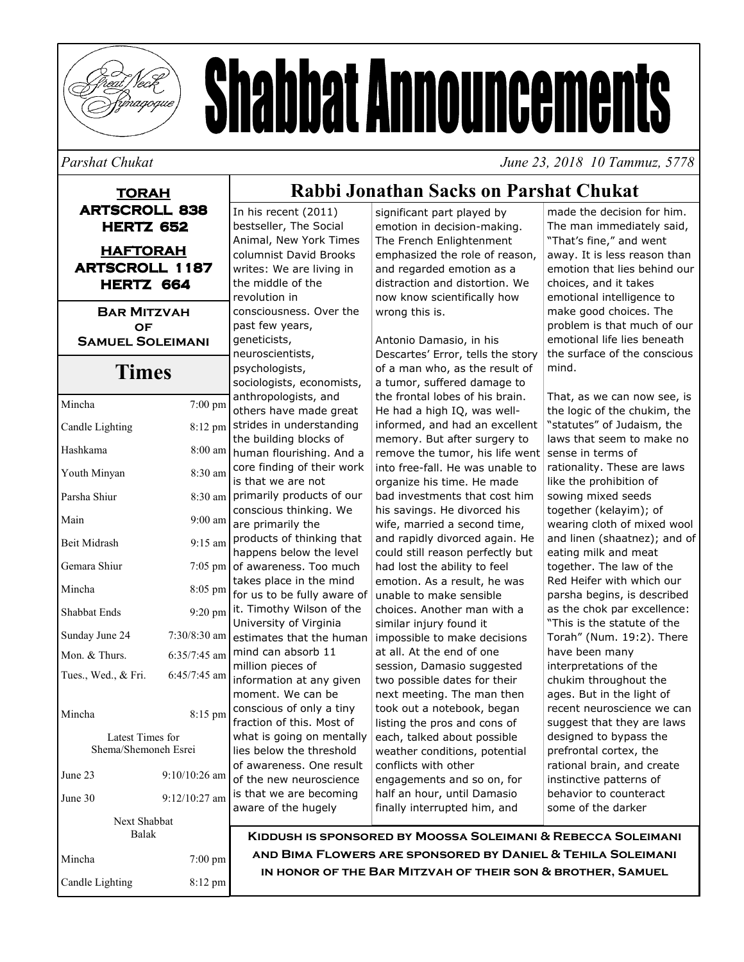

# **Shabbat Announcements**

#### Parshat Chukat

June 23, 2018 10 Tammuz, 5778

#### **TORAH ARTSCROLL 838 HERTZ 652 HAFTORAH**

**ARTSCROLL 1187** HERTZ 664

**BAR MITZVAH** OF **SAMUEL SOLEIMANI** 

#### **Times**

| Mincha                                   | $7:00$ pm         |  |
|------------------------------------------|-------------------|--|
| Candle Lighting                          | 8:12 pm           |  |
| Hashkama                                 | 8:00 am           |  |
| Youth Minyan                             | 8:30 am           |  |
| Parsha Shiur                             | $8:30 \text{ am}$ |  |
| Main                                     | $9:00$ am         |  |
| <b>Beit Midrash</b>                      | $9:15$ am         |  |
| Gemara Shiur                             | 7:05 pm           |  |
| Mincha                                   | 8:05 pm           |  |
| <b>Shabbat Ends</b>                      | $9:20 \text{ pm}$ |  |
| Sunday June 24                           | 7:30/8:30 am      |  |
| Mon. & Thurs.                            | 6:35/7:45 am      |  |
| Tues., Wed., & Fri.                      | $6:45/7:45$ am    |  |
| Mincha                                   | 8:15 pm           |  |
|                                          |                   |  |
| Latest Times for<br>Shema/Shemoneh Esrei |                   |  |
| June 23                                  | $9:10/10:26$ am   |  |
| June 30                                  | $9:12/10:27$ am   |  |
| <b>Next Shabbat</b><br><b>Balak</b>      |                   |  |
| Mincha                                   | 7:00 pm           |  |
| Candle Lighting                          | 8:12 pm           |  |

#### In his recent (2011) bestseller, The Social Animal, New York Times columnist David Brooks writes: We are living in the middle of the revolution in consciousness. Over the past few years, geneticists, neuroscientists, psychologists, sociologists, economists, anthropologists, and others have made great strides in understanding the building blocks of human flourishing. And a core finding of their work is that we are not primarily products of our conscious thinking. We are primarily the products of thinking that happens below the level of awareness. Too much takes place in the mind for us to be fully aware of it. Timothy Wilson of the University of Virginia estimates that the human mind can absorb 11 million pieces of information at any given moment. We can be conscious of only a tiny fraction of this. Most of what is going on mentally

lies below the threshold

of awareness. One result

of the new neuroscience

is that we are becoming

aware of the hugely

#### significant part played by emotion in decision-making. The French Enlightenment emphasized the role of reason, and regarded emotion as a distraction and distortion. We now know scientifically how wrong this is.

Rabbi Jonathan Sacks on Parshat Chukat

Antonio Damasio, in his Descartes' Error, tells the story of a man who, as the result of a tumor, suffered damage to the frontal lobes of his brain. He had a high IQ, was wellinformed, and had an excellent memory. But after surgery to remove the tumor, his life went into free-fall. He was unable to organize his time. He made bad investments that cost him his savings. He divorced his wife, married a second time, and rapidly divorced again. He could still reason perfectly but had lost the ability to feel emotion. As a result, he was unable to make sensible choices. Another man with a similar injury found it impossible to make decisions at all. At the end of one session, Damasio suggested two possible dates for their next meeting. The man then took out a notebook, began listing the pros and cons of each, talked about possible weather conditions, potential conflicts with other engagements and so on, for half an hour, until Damasio finally interrupted him, and

made the decision for him. The man immediately said, "That's fine," and went away. It is less reason than emotion that lies behind our choices, and it takes emotional intelligence to make good choices. The problem is that much of our emotional life lies beneath the surface of the conscious mind

That, as we can now see, is the logic of the chukim, the "statutes" of Judaism, the laws that seem to make no sense in terms of rationality. These are laws like the prohibition of sowing mixed seeds together (kelavim): of wearing cloth of mixed wool and linen (shaatnez); and of eating milk and meat together. The law of the Red Heifer with which our parsha begins, is described as the chok par excellence: "This is the statute of the Torah" (Num. 19:2). There have been many interpretations of the chukim throughout the ages. But in the light of recent neuroscience we can suggest that they are laws designed to bypass the prefrontal cortex, the rational brain, and create instinctive patterns of behavior to counteract some of the darker

KIDDUSH IS SPONSORED BY MOOSSA SOLEIMANI & REBECCA SOLEIMANI AND BIMA FLOWERS ARE SPONSORED BY DANIEL & TEHILA SOLEIMANI IN HONOR OF THE BAR MITZVAH OF THEIR SON & BROTHER, SAMUEL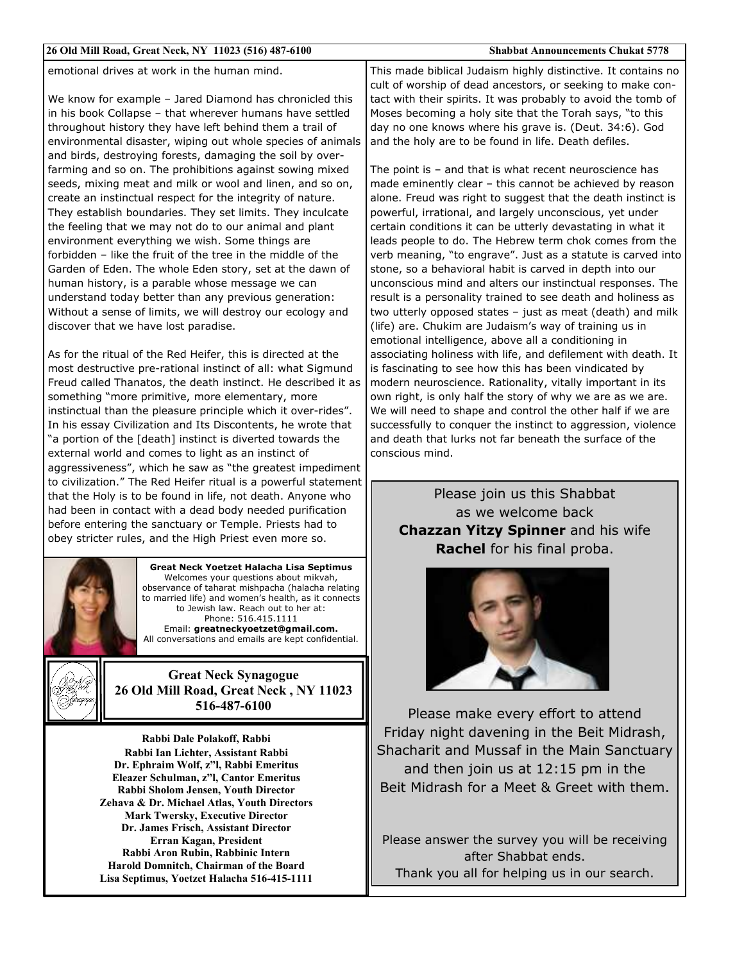| 26 Old Mill Road, Great Neck, NY 11023 (516) 487-6100                                                                                                                                                                                                                                                                                                                                                                                                                                                                                                                                                                                            | <b>Shabbat Announcements Chukat 5778</b>                                                                                                                                                                                                                                                                                                                                                                                                                                                                                                                                                                                                                                                           |
|--------------------------------------------------------------------------------------------------------------------------------------------------------------------------------------------------------------------------------------------------------------------------------------------------------------------------------------------------------------------------------------------------------------------------------------------------------------------------------------------------------------------------------------------------------------------------------------------------------------------------------------------------|----------------------------------------------------------------------------------------------------------------------------------------------------------------------------------------------------------------------------------------------------------------------------------------------------------------------------------------------------------------------------------------------------------------------------------------------------------------------------------------------------------------------------------------------------------------------------------------------------------------------------------------------------------------------------------------------------|
| emotional drives at work in the human mind.<br>We know for example - Jared Diamond has chronicled this<br>in his book Collapse - that wherever humans have settled<br>throughout history they have left behind them a trail of<br>environmental disaster, wiping out whole species of animals<br>and birds, destroying forests, damaging the soil by over-<br>farming and so on. The prohibitions against sowing mixed                                                                                                                                                                                                                           | This made biblical Judaism highly distinctive. It contains no<br>cult of worship of dead ancestors, or seeking to make con-<br>tact with their spirits. It was probably to avoid the tomb of<br>Moses becoming a holy site that the Torah says, "to this<br>day no one knows where his grave is. (Deut. 34:6). God<br>and the holy are to be found in life. Death defiles.<br>The point is $-$ and that is what recent neuroscience has                                                                                                                                                                                                                                                            |
| seeds, mixing meat and milk or wool and linen, and so on,<br>create an instinctual respect for the integrity of nature.<br>They establish boundaries. They set limits. They inculcate<br>the feeling that we may not do to our animal and plant<br>environment everything we wish. Some things are<br>forbidden - like the fruit of the tree in the middle of the<br>Garden of Eden. The whole Eden story, set at the dawn of<br>human history, is a parable whose message we can<br>understand today better than any previous generation:<br>Without a sense of limits, we will destroy our ecology and<br>discover that we have lost paradise. | made eminently clear - this cannot be achieved by reason<br>alone. Freud was right to suggest that the death instinct is<br>powerful, irrational, and largely unconscious, yet under<br>certain conditions it can be utterly devastating in what it<br>leads people to do. The Hebrew term chok comes from the<br>verb meaning, "to engrave". Just as a statute is carved into<br>stone, so a behavioral habit is carved in depth into our<br>unconscious mind and alters our instinctual responses. The<br>result is a personality trained to see death and holiness as<br>two utterly opposed states $-$ just as meat (death) and milk<br>(life) are. Chukim are Judaism's way of training us in |
| As for the ritual of the Red Heifer, this is directed at the<br>most destructive pre-rational instinct of all: what Sigmund<br>Freud called Thanatos, the death instinct. He described it as<br>something "more primitive, more elementary, more<br>instinctual than the pleasure principle which it over-rides".<br>In his essay Civilization and Its Discontents, he wrote that<br>"a portion of the [death] instinct is diverted towards the<br>external world and comes to light as an instinct of<br>aggressiveness", which he saw as "the greatest impediment                                                                              | emotional intelligence, above all a conditioning in<br>associating holiness with life, and defilement with death. It<br>is fascinating to see how this has been vindicated by<br>modern neuroscience. Rationality, vitally important in its<br>own right, is only half the story of why we are as we are.<br>We will need to shape and control the other half if we are<br>successfully to conquer the instinct to aggression, violence<br>and death that lurks not far beneath the surface of the<br>conscious mind.                                                                                                                                                                              |
| to civilization." The Red Heifer ritual is a powerful statement<br>that the Holy is to be found in life, not death. Anyone who<br>had been in contact with a dead body needed purification<br>before entering the sanctuary or Temple. Priests had to<br>obey stricter rules, and the High Priest even more so.                                                                                                                                                                                                                                                                                                                                  | Please join us this Shabbat<br>as we welcome back<br><b>Chazzan Yitzy Spinner and his wife</b><br>Rachel for his final proba.                                                                                                                                                                                                                                                                                                                                                                                                                                                                                                                                                                      |
| <b>Great Neck Yoetzet Halacha Lisa Septimus</b><br>Welcomes your questions about mikvah,<br>observance of taharat mishpacha (halacha relating<br>to married life) and women's health, as it connects<br>to Jewish law. Reach out to her at:<br>Phone: 516.415.1111<br>Email: greatneckyoetzet@gmail.com.<br>All conversations and emails are kept confidential.                                                                                                                                                                                                                                                                                  |                                                                                                                                                                                                                                                                                                                                                                                                                                                                                                                                                                                                                                                                                                    |
| <b>Great Neck Synagogue</b><br>26 Old Mill Road, Great Neck, NY 11023<br>516-487-6100                                                                                                                                                                                                                                                                                                                                                                                                                                                                                                                                                            | Please make every effort to attend                                                                                                                                                                                                                                                                                                                                                                                                                                                                                                                                                                                                                                                                 |

Rabbi Dale Polakoff, Rabbi Rabbi Ian Lichter, Assistant Rabbi Dr. Ephraim Wolf, z"l, Rabbi Emeritus Eleazer Schulman, z"l, Cantor Emeritus Rabbi Sholom Jensen, Youth Director Zehava & Dr. Michael Atlas, Youth Directors Mark Twersky, Executive Director Dr. James Frisch, Assistant Director Erran Kagan, President Rabbi Aron Rubin, Rabbinic Intern Harold Domnitch, Chairman of the Board Lisa Septimus, Yoetzet Halacha 516-415-1111

Friday night davening in the Beit Midrash, Shacharit and Mussaf in the Main Sanctuary and then join us at 12:15 pm in the Beit Midrash for a Meet & Greet with them.

Please answer the survey you will be receiving after Shabbat ends. Thank you all for helping us in our search.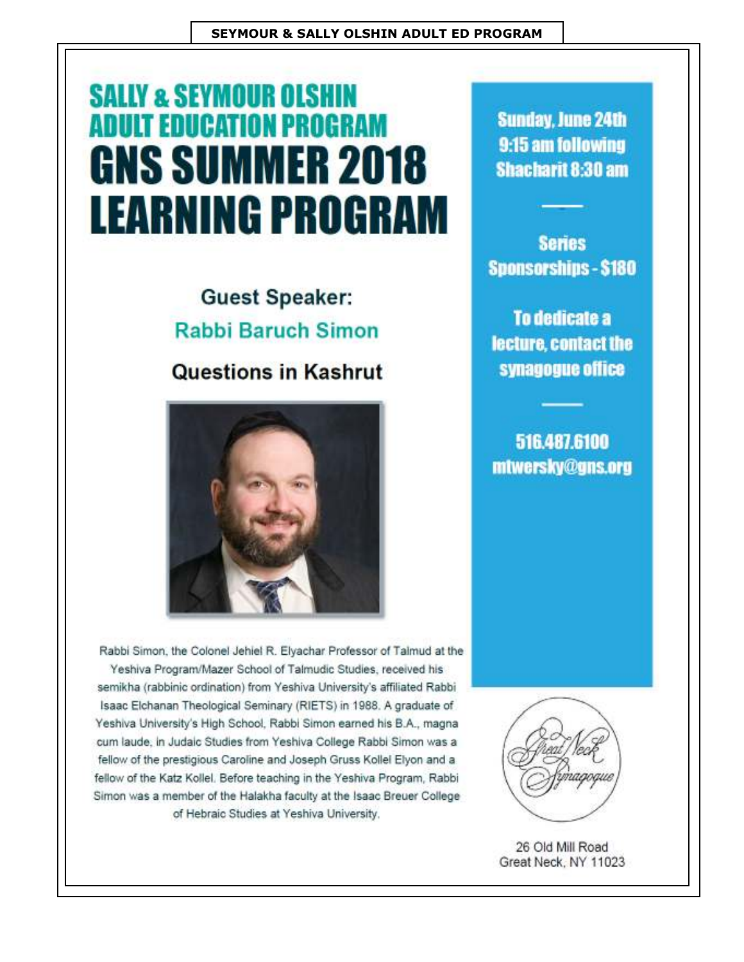# **SALLY & SEYMOUR OLSHIN ADULT EDUCATION PROGRAM GNS SUMMER 2018 LEARNING PROGRAM**

## **Guest Speaker: Rabbi Baruch Simon**

### **Questions in Kashrut**



**Sunday, June 24th** 9:15 am following **Shacharit 8:30 am** 

**Series Sponsorships - \$180** 

To dedicate a lecture, contact the synagogue office

516,487,6100 mtwersky@gns.org

Rabbi Simon, the Colonel Jehiel R. Elyachar Professor of Talmud at the Yeshiva Program/Mazer School of Talmudic Studies, received his semikha (rabbinic ordination) from Yeshiva University's affiliated Rabbi Isaac Elchanan Theological Seminary (RIETS) in 1988. A graduate of Yeshiva University's High School, Rabbi Simon earned his B.A., magna cum laude, in Judaic Studies from Yeshiva College Rabbi Simon was a fellow of the prestigious Caroline and Joseph Gruss Kollel Elyon and a fellow of the Katz Kollel. Before teaching in the Yeshiva Program, Rabbi Simon was a member of the Halakha faculty at the Isaac Breuer College of Hebraic Studies at Yeshiva University.



26 Old Mill Road Great Neck, NY 11023